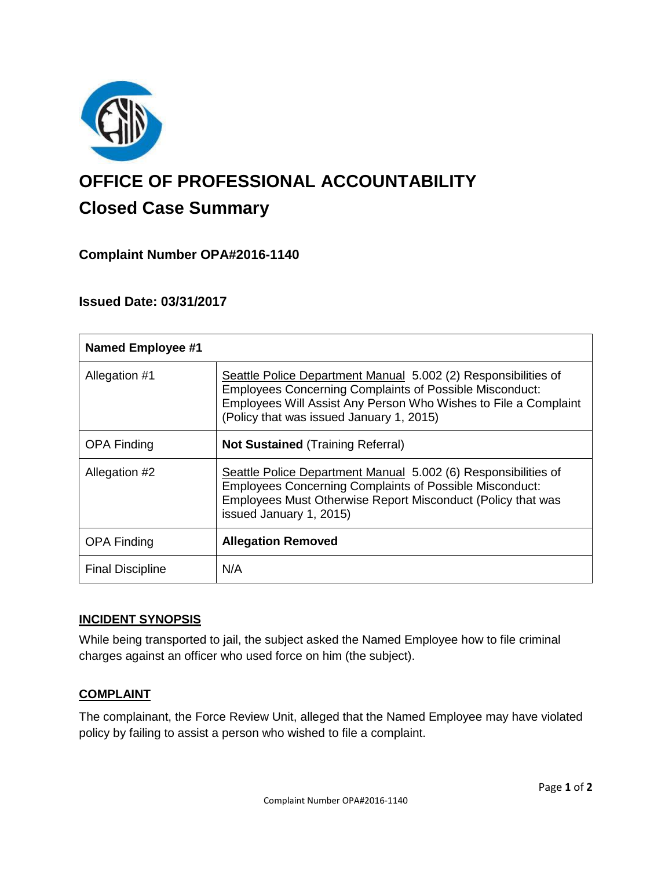

# **OFFICE OF PROFESSIONAL ACCOUNTABILITY Closed Case Summary**

## **Complaint Number OPA#2016-1140**

## **Issued Date: 03/31/2017**

| <b>Named Employee #1</b> |                                                                                                                                                                                                                                                 |
|--------------------------|-------------------------------------------------------------------------------------------------------------------------------------------------------------------------------------------------------------------------------------------------|
| Allegation #1            | Seattle Police Department Manual 5.002 (2) Responsibilities of<br><b>Employees Concerning Complaints of Possible Misconduct:</b><br>Employees Will Assist Any Person Who Wishes to File a Complaint<br>(Policy that was issued January 1, 2015) |
| <b>OPA Finding</b>       | <b>Not Sustained (Training Referral)</b>                                                                                                                                                                                                        |
| Allegation #2            | Seattle Police Department Manual 5.002 (6) Responsibilities of<br><b>Employees Concerning Complaints of Possible Misconduct:</b><br>Employees Must Otherwise Report Misconduct (Policy that was<br>issued January 1, 2015)                      |
| <b>OPA Finding</b>       | <b>Allegation Removed</b>                                                                                                                                                                                                                       |
| <b>Final Discipline</b>  | N/A                                                                                                                                                                                                                                             |

#### **INCIDENT SYNOPSIS**

While being transported to jail, the subject asked the Named Employee how to file criminal charges against an officer who used force on him (the subject).

#### **COMPLAINT**

The complainant, the Force Review Unit, alleged that the Named Employee may have violated policy by failing to assist a person who wished to file a complaint.